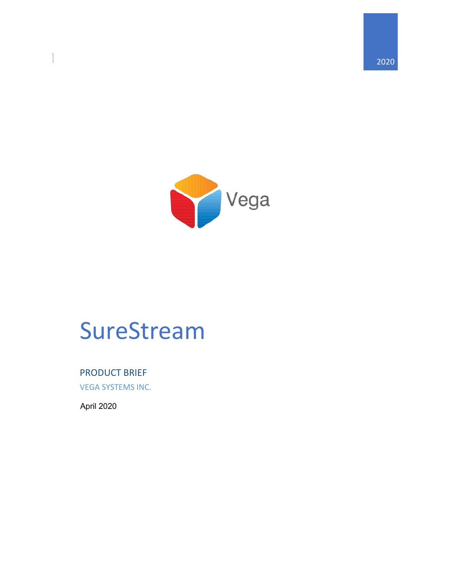

# SureStream

PRODUCT BRIEF

VEGA SYSTEMS INC.

April 2020

 $\overline{\phantom{a}}$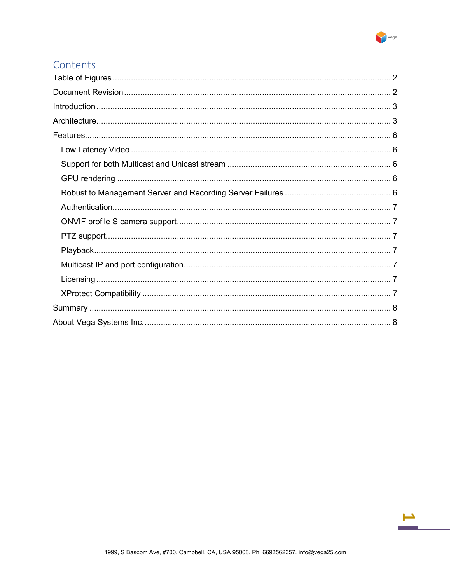

#### Contents

÷.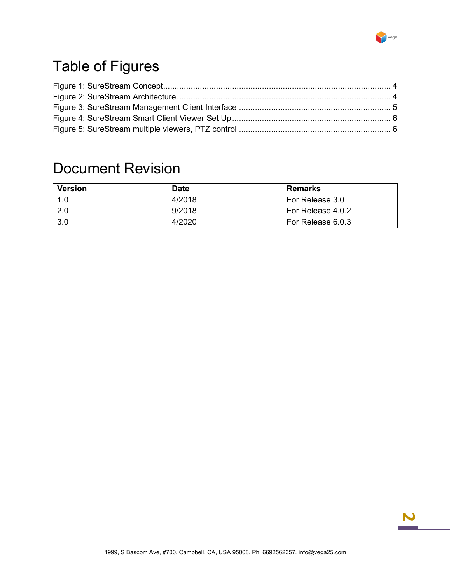

## <span id="page-2-0"></span>Table of Figures

### <span id="page-2-1"></span>Document Revision

| Version           | <b>Date</b> | <b>Remarks</b>    |
|-------------------|-------------|-------------------|
| $\vert 1.0 \vert$ | 4/2018      | For Release 3.0   |
| $\sqrt{2.0}$      | 9/2018      | For Release 4.0.2 |
| 3.0               | 4/2020      | For Release 6.0.3 |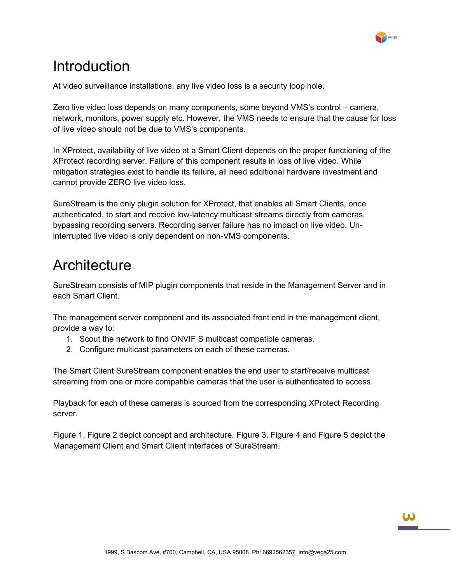

### <span id="page-3-0"></span>Introduction

At video surveillance installations, any live video loss is a security loop hole.

Zero live video loss depends on many components, some beyond VMS's control – camera, network, monitors, power supply etc. However, the VMS needs to ensure that the cause for loss of live video should not be due to VMS's components.

In XProtect, availability of live video at a Smart Client depends on the proper functioning of the XProtect recording server. Failure of this component results in loss of live video. While mitigation strategies exist to handle its failure, all need additional hardware investment and cannot provide ZERO live video loss.

SureStream is the only plugin solution for XProtect, that enables all Smart Clients, once authenticated, to start and receive low-latency multicast streams directly from cameras, bypassing recording servers. Recording server failure has no impact on live video. Uninterrupted live video is only dependent on non-VMS components.

### <span id="page-3-1"></span>**Architecture**

SureStream consists of MIP plugin components that reside in the Management Server and in each Smart Client.

The management server component and its associated front end in the management client, provide a way to:

- 1. Scout the network to find ONVIF S multicast compatible cameras.
- 2. Configure multicast parameters on each of these cameras.

The Smart Client SureStream component enables the end user to start/receive multicast streaming from one or more compatible cameras that the user is authenticated to access.

Playback for each of these cameras is sourced from the corresponding XProtect Recording server.

[Figure 1,](#page-4-0) [Figure 2](#page-4-1) depict concept and architecture. [Figure 3,](#page-5-0) [Figure 4](#page-6-5) and [Figure 5](#page-6-6) depict the Management Client and Smart Client interfaces of SureStream.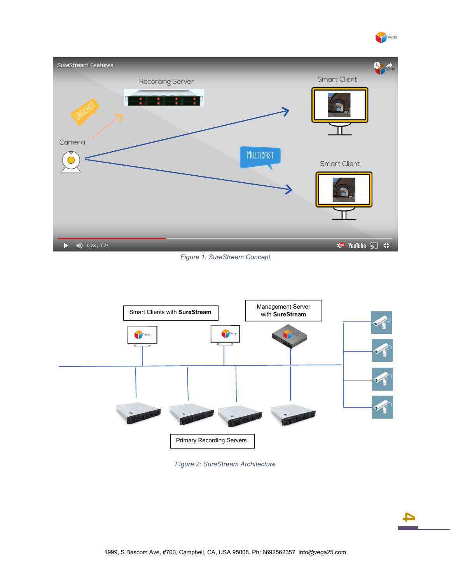



#### *Figure 1: SureStream Concept*

<span id="page-4-0"></span>

<span id="page-4-1"></span>*Figure 2: SureStream Architecture*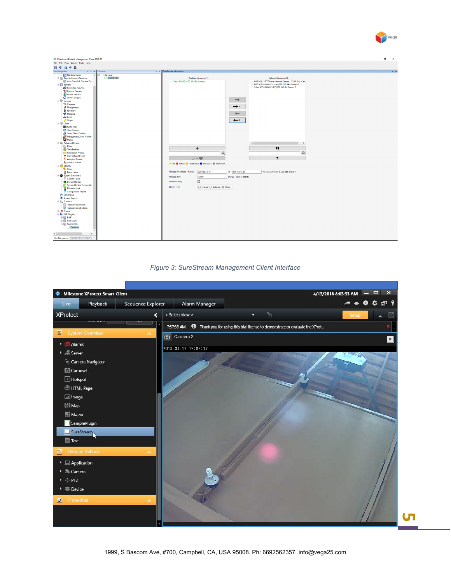

| a.<br>$\mathsf{X}$<br>Milestone XProtect Management Client 2020 R1<br>$\sim$                                                                                                                                                                                                                                                                                                                                                                                                                                                                                                                                                                                                                                                                                                                                                                                                                                                                                                                                                                                                                                                                                                                                                                                                                                                                                                                                                                                                                                                                                                                                                                                                                                                                                                                                                                                                                                                                              |
|-----------------------------------------------------------------------------------------------------------------------------------------------------------------------------------------------------------------------------------------------------------------------------------------------------------------------------------------------------------------------------------------------------------------------------------------------------------------------------------------------------------------------------------------------------------------------------------------------------------------------------------------------------------------------------------------------------------------------------------------------------------------------------------------------------------------------------------------------------------------------------------------------------------------------------------------------------------------------------------------------------------------------------------------------------------------------------------------------------------------------------------------------------------------------------------------------------------------------------------------------------------------------------------------------------------------------------------------------------------------------------------------------------------------------------------------------------------------------------------------------------------------------------------------------------------------------------------------------------------------------------------------------------------------------------------------------------------------------------------------------------------------------------------------------------------------------------------------------------------------------------------------------------------------------------------------------------------|
| File Edit View Action Tools Help                                                                                                                                                                                                                                                                                                                                                                                                                                                                                                                                                                                                                                                                                                                                                                                                                                                                                                                                                                                                                                                                                                                                                                                                                                                                                                                                                                                                                                                                                                                                                                                                                                                                                                                                                                                                                                                                                                                          |
| 日りのも品<br>Site Navigation<br>$\downarrow$ 4 SureStream Information<br>$\vee$ # $\times$ Cameras                                                                                                                                                                                                                                                                                                                                                                                                                                                                                                                                                                                                                                                                                                                                                                                                                                                                                                                                                                                                                                                                                                                                                                                                                                                                                                                                                                                                                                                                                                                                                                                                                                                                                                                                                                                                                                                            |
| $-9$                                                                                                                                                                                                                                                                                                                                                                                                                                                                                                                                                                                                                                                                                                                                                                                                                                                                                                                                                                                                                                                                                                                                                                                                                                                                                                                                                                                                                                                                                                                                                                                                                                                                                                                                                                                                                                                                                                                                                      |
| <b>11</b> Site Information<br><b>E Cameras</b><br>- SureStream<br>Available Camera(s) (1)<br>Selected Camera(s) (3)<br>Remote Connect Services<br>Axis One-click Camera Con<br>-- Pelco D6230L (172.16.0.5) - Camera 1<br>AXIS M5013 PTZ Dome Network Camera (172.16.0.4) - Cam<br>- AXIS M7014 Video Encoder (172.16.0.14) - Camera 2<br><b>E-</b> Servers<br>Dahua IPC-HFW4431R-Z (172.16.0.6) - Camera 1<br>Recording Servers<br>Failover Servers<br>Mobile Servers<br><b>G</b> ONVIF Bridges<br>$\rightarrow$<br><b>E</b> Devices<br>Cameras<br>$\rightarrow$ Al<br>Microphones<br><b>C</b> Speakers<br>Metadata<br>$\leftarrow$<br>do Input<br><b>O</b> Output<br>$\leftarrow$ $\sim$<br><b>GHI Client</b><br><b>Hill</b> Smart Wall<br>Mew Groups<br>Smart Client Profiles<br>Management Client Profiles<br><b>B</b> Rules and Events<br>$\left\langle \cdot \right\rangle$<br>$\rightarrow$<br><b>Rules</b><br>t1<br>$\ddot{}$<br>Time Profiles<br>$\hbox{\tt Q}$<br>Notification Profiles<br>$\alpha$<br>User-defined Events<br>土<br>$\textcircled{1}$ + $\overline{\mathbf{w}}$<br><b>Analytics Events</b><br>Generic Events<br>  OK   Offine   Profile issue   Time issue   Not ONVIF<br>et Security<br><b>Roles</b><br>Multicast IP address / Range<br>239.192.10.10<br>to 239.192.10.20<br>(Range: 239.0.0.0 to 239.255.255.254)<br><b>R</b> Basic Users<br>System Dashboard<br>10000<br>(Range: 1024 to 65535)<br>Multicast Port<br>Current Tasks<br>$\Box$<br><b>Enable Overlay</b><br>System Monitor<br>System Monitor Thresholds<br>Stream Type<br>◯ Unicast ◯ Multicast (® Ether<br><b>R</b> Evidence Lock<br>Configuration Reports<br>Server Logs<br><b>D</b> Access Control<br><b>E.C.</b> Transact<br>Transaction sources<br>Transaction definitions<br>由 & Alarms<br><b>ED WIP Plug-ins</b><br><b>B-III RMF</b><br><b>E</b> RMFAlarm<br><b>B</b> SureStream<br>Cameras<br>$\leq$<br>$\,$<br>Site Navigation Federated Site Hierarchy |



<span id="page-5-0"></span>

**Сп**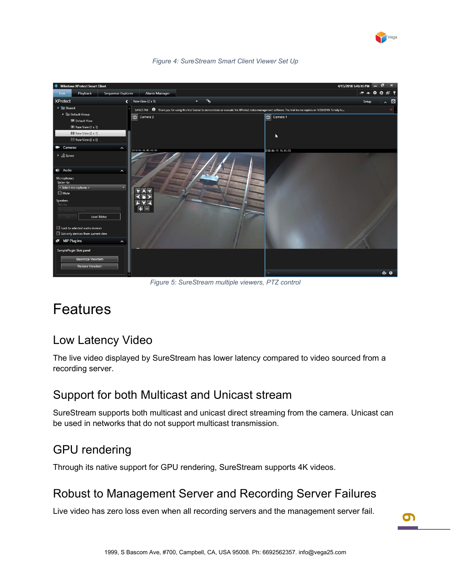

<span id="page-6-5"></span>

*Figure 4: SureStream Smart Client Viewer Set Up*

*Figure 5: SureStream multiple viewers, PTZ control*

### <span id="page-6-6"></span><span id="page-6-0"></span>Features

#### <span id="page-6-1"></span>Low Latency Video

The live video displayed by SureStream has lower latency compared to video sourced from a recording server.

#### <span id="page-6-2"></span>Support for both Multicast and Unicast stream

SureStream supports both multicast and unicast direct streaming from the camera. Unicast can be used in networks that do not support multicast transmission.

#### <span id="page-6-3"></span>GPU rendering

<span id="page-6-4"></span>Through its native support for GPU rendering, SureStream supports 4K videos.

#### Robust to Management Server and Recording Server Failures

Live video has zero loss even when all recording servers and the management server fail.

**6**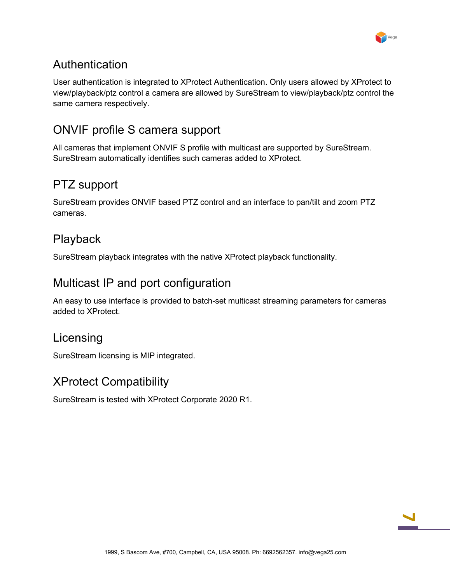

#### <span id="page-7-0"></span>Authentication

User authentication is integrated to XProtect Authentication. Only users allowed by XProtect to view/playback/ptz control a camera are allowed by SureStream to view/playback/ptz control the same camera respectively.

### <span id="page-7-1"></span>ONVIF profile S camera support

All cameras that implement ONVIF S profile with multicast are supported by SureStream. SureStream automatically identifies such cameras added to XProtect.

#### <span id="page-7-2"></span>PTZ support

SureStream provides ONVIF based PTZ control and an interface to pan/tilt and zoom PTZ cameras.

#### <span id="page-7-3"></span>Playback

<span id="page-7-4"></span>SureStream playback integrates with the native XProtect playback functionality.

#### Multicast IP and port configuration

An easy to use interface is provided to batch-set multicast streaming parameters for cameras added to XProtect.

#### <span id="page-7-5"></span>Licensing

<span id="page-7-6"></span>SureStream licensing is MIP integrated.

#### XProtect Compatibility

SureStream is tested with XProtect Corporate 2020 R1.